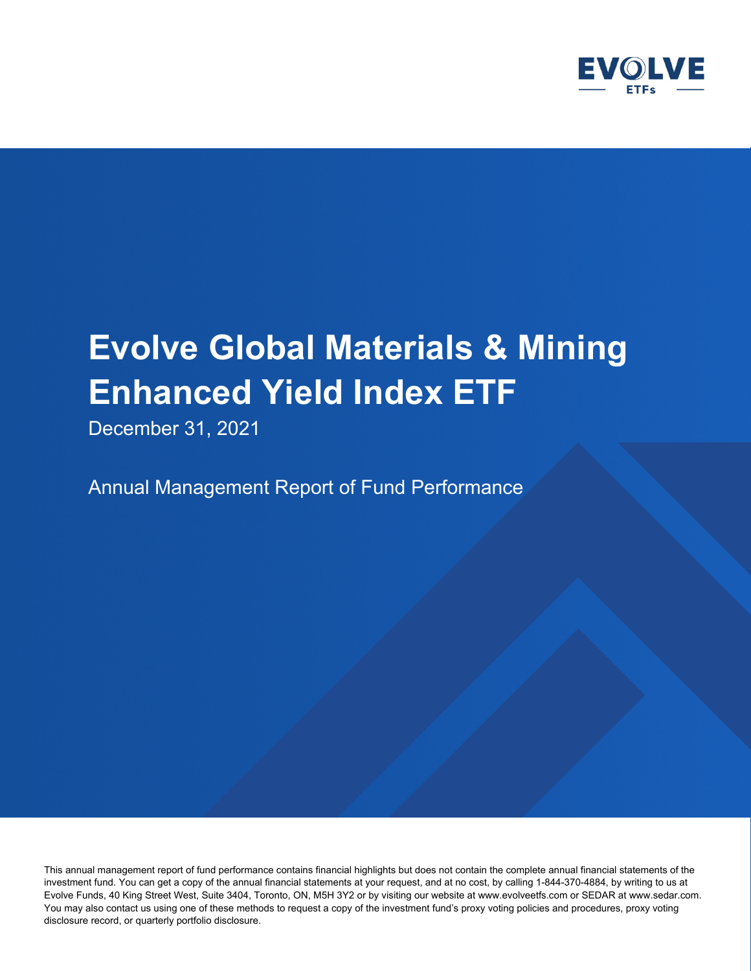

December 31, 2021

Annual Management Report of Fund Performance

This annual management report of fund performance contains financial highlights but does not contain the complete annual financial statements of the investment fund. You can get a copy of the annual financial statements at your request, and at no cost, by calling 1-844-370-4884, by writing to us at Evolve Funds, 40 King Street West, Suite 3404, Toronto, ON, M5H 3Y2 or by visiting our website at www.evolveetfs.com or SEDAR at www.sedar.com. You may also contact us using one of these methods to request a copy of the investment fund's proxy voting policies and procedures, proxy voting disclosure record, or quarterly portfolio disclosure.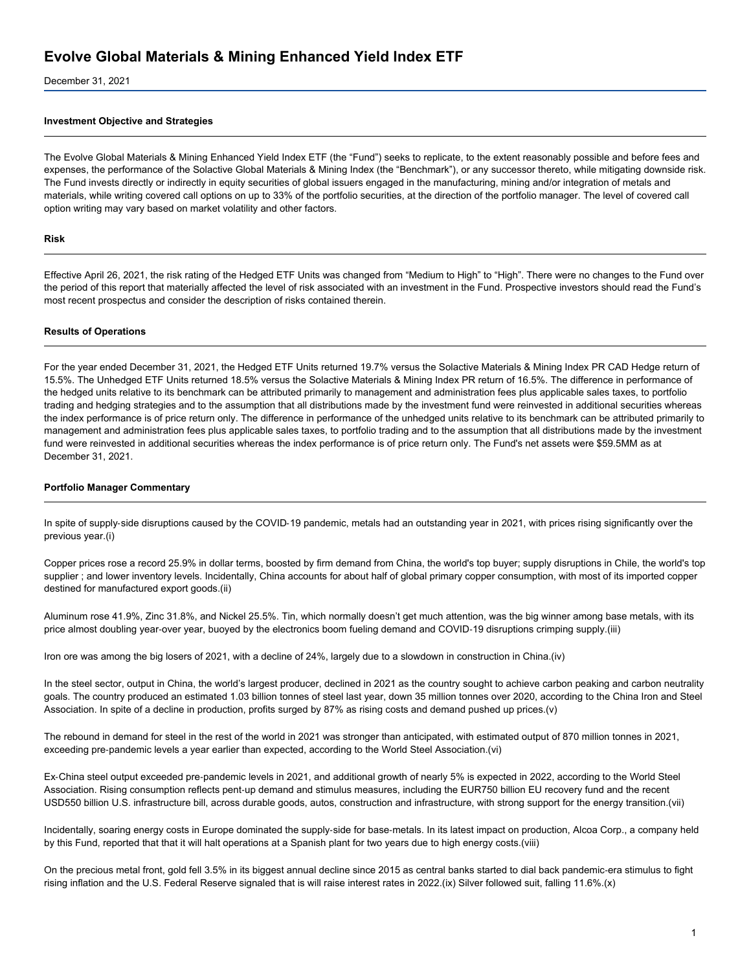December 31, 2021

#### **Investment Objective and Strategies**

The Evolve Global Materials & Mining Enhanced Yield Index ETF (the "Fund") seeks to replicate, to the extent reasonably possible and before fees and expenses, the performance of the Solactive Global Materials & Mining Index (the "Benchmark"), or any successor thereto, while mitigating downside risk. The Fund invests directly or indirectly in equity securities of global issuers engaged in the manufacturing, mining and/or integration of metals and materials, while writing covered call options on up to 33% of the portfolio securities, at the direction of the portfolio manager. The level of covered call option writing may vary based on market volatility and other factors.

#### **Risk**

Effective April 26, 2021, the risk rating of the Hedged ETF Units was changed from "Medium to High" to "High". There were no changes to the Fund over the period of this report that materially affected the level of risk associated with an investment in the Fund. Prospective investors should read the Fund's most recent prospectus and consider the description of risks contained therein.

#### **Results of Operations**

For the year ended December 31, 2021, the Hedged ETF Units returned 19.7% versus the Solactive Materials & Mining Index PR CAD Hedge return of 15.5%. The Unhedged ETF Units returned 18.5% versus the Solactive Materials & Mining Index PR return of 16.5%. The difference in performance of the hedged units relative to its benchmark can be attributed primarily to management and administration fees plus applicable sales taxes, to portfolio trading and hedging strategies and to the assumption that all distributions made by the investment fund were reinvested in additional securities whereas the index performance is of price return only. The difference in performance of the unhedged units relative to its benchmark can be attributed primarily to management and administration fees plus applicable sales taxes, to portfolio trading and to the assumption that all distributions made by the investment fund were reinvested in additional securities whereas the index performance is of price return only. The Fund's net assets were \$59.5MM as at December 31, 2021.

#### **Portfolio Manager Commentary**

In spite of supply-side disruptions caused by the COVID-19 pandemic, metals had an outstanding year in 2021, with prices rising significantly over the previous year.(i)

Copper prices rose a record 25.9% in dollar terms, boosted by firm demand from China, the world's top buyer; supply disruptions in Chile, the world's top supplier ; and lower inventory levels. Incidentally, China accounts for about half of global primary copper consumption, with most of its imported copper destined for manufactured export goods.(ii)

Aluminum rose 41.9%, Zinc 31.8%, and Nickel 25.5%. Tin, which normally doesn't get much attention, was the big winner among base metals, with its price almost doubling year-over year, buoyed by the electronics boom fueling demand and COVID-19 disruptions crimping supply.(iii)

Iron ore was among the big losers of 2021, with a decline of 24%, largely due to a slowdown in construction in China.(iv)

In the steel sector, output in China, the world's largest producer, declined in 2021 as the country sought to achieve carbon peaking and carbon neutrality goals. The country produced an estimated 1.03 billion tonnes of steel last year, down 35 million tonnes over 2020, according to the China Iron and Steel Association. In spite of a decline in production, profits surged by 87% as rising costs and demand pushed up prices.(v)

The rebound in demand for steel in the rest of the world in 2021 was stronger than anticipated, with estimated output of 870 million tonnes in 2021, exceeding pre‑pandemic levels a year earlier than expected, according to the World Steel Association.(vi)

Ex‑China steel output exceeded pre‑pandemic levels in 2021, and additional growth of nearly 5% is expected in 2022, according to the World Steel Association. Rising consumption reflects pent‑up demand and stimulus measures, including the EUR750 billion EU recovery fund and the recent USD550 billion U.S. infrastructure bill, across durable goods, autos, construction and infrastructure, with strong support for the energy transition.(vii)

Incidentally, soaring energy costs in Europe dominated the supply-side for base-metals. In its latest impact on production, Alcoa Corp., a company held by this Fund, reported that that it will halt operations at a Spanish plant for two years due to high energy costs.(viii)

On the precious metal front, gold fell 3.5% in its biggest annual decline since 2015 as central banks started to dial back pandemic‑era stimulus to fight rising inflation and the U.S. Federal Reserve signaled that is will raise interest rates in 2022.(ix) Silver followed suit, falling 11.6%.(x)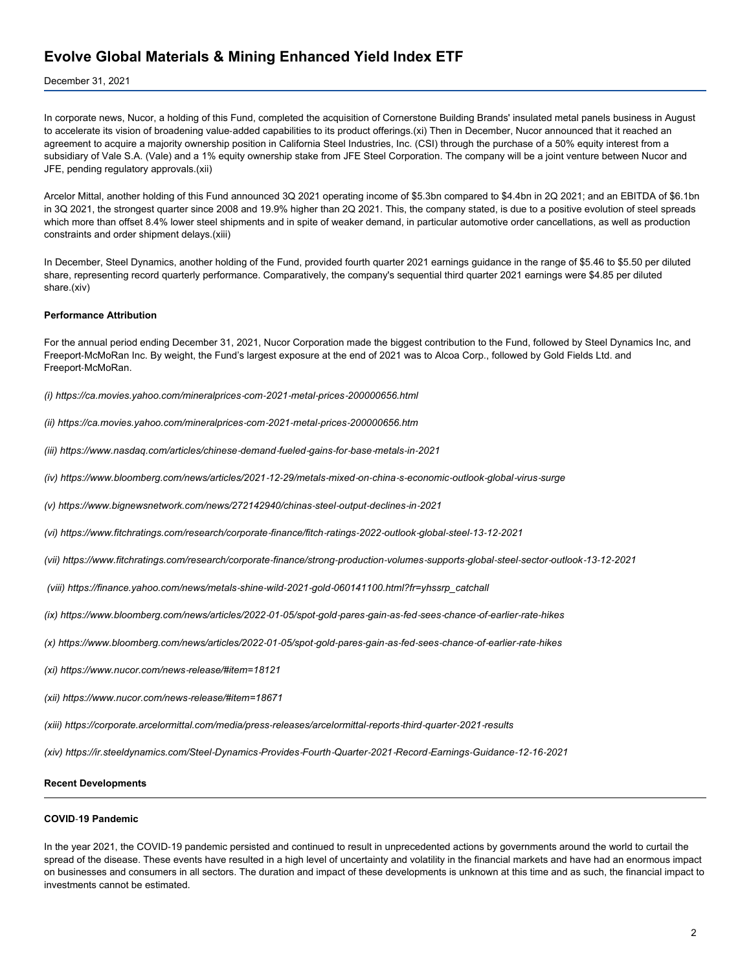#### December 31, 2021

In corporate news, Nucor, a holding of this Fund, completed the acquisition of Cornerstone Building Brands' insulated metal panels business in August to accelerate its vision of broadening value‑added capabilities to its product offerings.(xi) Then in December, Nucor announced that it reached an agreement to acquire a majority ownership position in California Steel Industries, Inc. (CSI) through the purchase of a 50% equity interest from a subsidiary of Vale S.A. (Vale) and a 1% equity ownership stake from JFE Steel Corporation. The company will be a joint venture between Nucor and JFE, pending regulatory approvals.(xii)

Arcelor Mittal, another holding of this Fund announced 3Q 2021 operating income of \$5.3bn compared to \$4.4bn in 2Q 2021; and an EBITDA of \$6.1bn in 3Q 2021, the strongest quarter since 2008 and 19.9% higher than 2Q 2021. This, the company stated, is due to a positive evolution of steel spreads which more than offset 8.4% lower steel shipments and in spite of weaker demand, in particular automotive order cancellations, as well as production constraints and order shipment delays.(xiii)

In December, Steel Dynamics, another holding of the Fund, provided fourth quarter 2021 earnings guidance in the range of \$5.46 to \$5.50 per diluted share, representing record quarterly performance. Comparatively, the company's sequential third quarter 2021 earnings were \$4.85 per diluted share.(xiv)

#### **Performance Attribution**

For the annual period ending December 31, 2021, Nucor Corporation made the biggest contribution to the Fund, followed by Steel Dynamics Inc, and Freeport‑McMoRan Inc. By weight, the Fund's largest exposure at the end of 2021 was to Alcoa Corp., followed by Gold Fields Ltd. and Freeport‑McMoRan.

*(i) https://ca.movies.yahoo.com/mineralprices‑com‑2021‑metal‑prices‑200000656.html*

- *(ii) https://ca.movies.yahoo.com/mineralprices‑com‑2021‑metal‑prices‑200000656.htm*
- *(iii) https://www.nasdaq.com/articles/chinese‑demand‑fueled‑gains‑for‑base‑metals‑in‑2021*
- (iv) https://www.bloomberg.com/news/articles/2021-12-29/metals-mixed-on-china-s-economic-outlook-global-virus-surge
- *(v) https://www.bignewsnetwork.com/news/272142940/chinas‑steel‑output‑declines‑in‑2021*
- (vi) https://www.fitchratings.com/research/corporate-finance/fitch-ratings-2022-outlook-global-steel-13-12-2021
- (vii) https://www.fitchratings.com/research/corporate-finance/strong-production-volumes-supports-global-steel-sector-outlook-13-12-2021
- *(viii) https://finance.yahoo.com/news/metals‑shine‑wild‑2021‑gold‑060141100.html?fr=yhssrp\_catchall*
- (ix) https://www.bloomberg.com/news/articles/2022-01-05/spot-gold-pares-gain-as-fed-sees-chance-of-earlier-rate-hikes
- (x) https://www.bloomberg.com/news/articles/2022-01-05/spot-gold-pares-gain-as-fed-sees-chance-of-earlier-rate-hikes
- *(xi) https://www.nucor.com/news‑release/#item=18121*
- *(xii) https://www.nucor.com/news‑release/#item=18671*
- *(xiii) https://corporate.arcelormittal.com/media/press‑releases/arcelormittal‑reports‑third‑quarter‑2021‑results*

(xiv) https://ir.steeldynamics.com/Steel-Dynamics-Provides-Fourth-Quarter-2021-Record-Earnings-Guidance-12-16-2021

#### **Recent Developments**

#### **COVID**‑**19 Pandemic**

In the year 2021, the COVID‑19 pandemic persisted and continued to result in unprecedented actions by governments around the world to curtail the spread of the disease. These events have resulted in a high level of uncertainty and volatility in the financial markets and have had an enormous impact on businesses and consumers in all sectors. The duration and impact of these developments is unknown at this time and as such, the financial impact to investments cannot be estimated.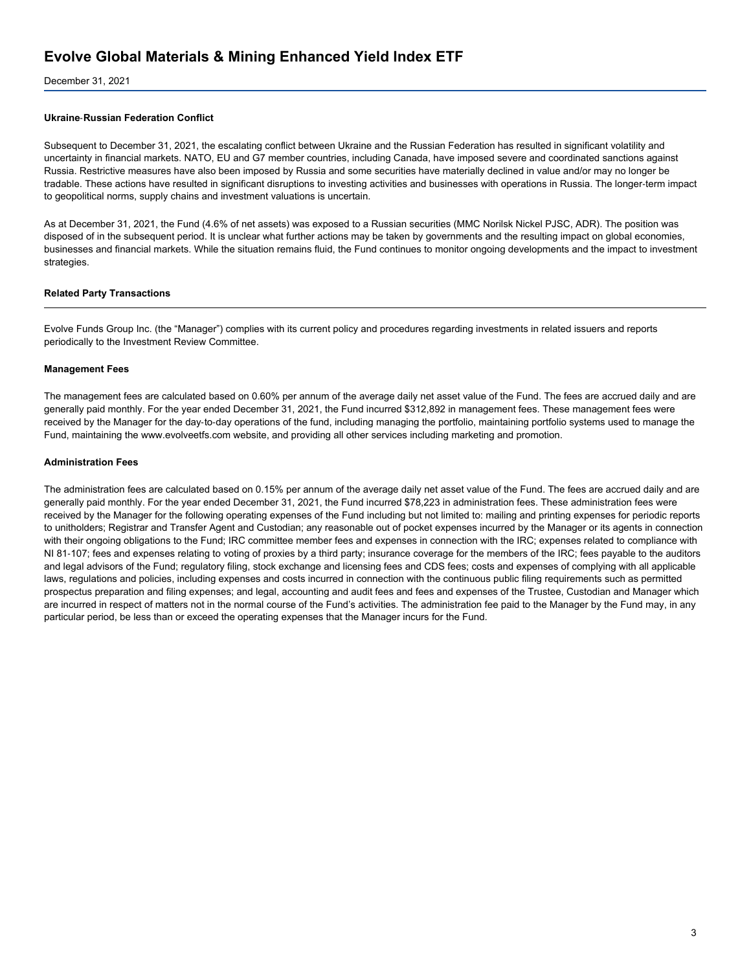December 31, 2021

#### **Ukraine**‑**Russian Federation Conflict**

Subsequent to December 31, 2021, the escalating conflict between Ukraine and the Russian Federation has resulted in significant volatility and uncertainty in financial markets. NATO, EU and G7 member countries, including Canada, have imposed severe and coordinated sanctions against Russia. Restrictive measures have also been imposed by Russia and some securities have materially declined in value and/or may no longer be tradable. These actions have resulted in significant disruptions to investing activities and businesses with operations in Russia. The longer‑term impact to geopolitical norms, supply chains and investment valuations is uncertain.

As at December 31, 2021, the Fund (4.6% of net assets) was exposed to a Russian securities (MMC Norilsk Nickel PJSC, ADR). The position was disposed of in the subsequent period. It is unclear what further actions may be taken by governments and the resulting impact on global economies, businesses and financial markets. While the situation remains fluid, the Fund continues to monitor ongoing developments and the impact to investment strategies.

#### **Related Party Transactions**

Evolve Funds Group Inc. (the "Manager") complies with its current policy and procedures regarding investments in related issuers and reports periodically to the Investment Review Committee.

#### **Management Fees**

The management fees are calculated based on 0.60% per annum of the average daily net asset value of the Fund. The fees are accrued daily and are generally paid monthly. For the year ended December 31, 2021, the Fund incurred \$312,892 in management fees. These management fees were received by the Manager for the day-to-day operations of the fund, including managing the portfolio, maintaining portfolio systems used to manage the Fund, maintaining the www.evolveetfs.com website, and providing all other services including marketing and promotion.

#### **Administration Fees**

The administration fees are calculated based on 0.15% per annum of the average daily net asset value of the Fund. The fees are accrued daily and are generally paid monthly. For the year ended December 31, 2021, the Fund incurred \$78,223 in administration fees. These administration fees were received by the Manager for the following operating expenses of the Fund including but not limited to: mailing and printing expenses for periodic reports to unitholders; Registrar and Transfer Agent and Custodian; any reasonable out of pocket expenses incurred by the Manager or its agents in connection with their ongoing obligations to the Fund; IRC committee member fees and expenses in connection with the IRC; expenses related to compliance with NI 81‑107; fees and expenses relating to voting of proxies by a third party; insurance coverage for the members of the IRC; fees payable to the auditors and legal advisors of the Fund; regulatory filing, stock exchange and licensing fees and CDS fees; costs and expenses of complying with all applicable laws, regulations and policies, including expenses and costs incurred in connection with the continuous public filing requirements such as permitted prospectus preparation and filing expenses; and legal, accounting and audit fees and fees and expenses of the Trustee, Custodian and Manager which are incurred in respect of matters not in the normal course of the Fund's activities. The administration fee paid to the Manager by the Fund may, in any particular period, be less than or exceed the operating expenses that the Manager incurs for the Fund.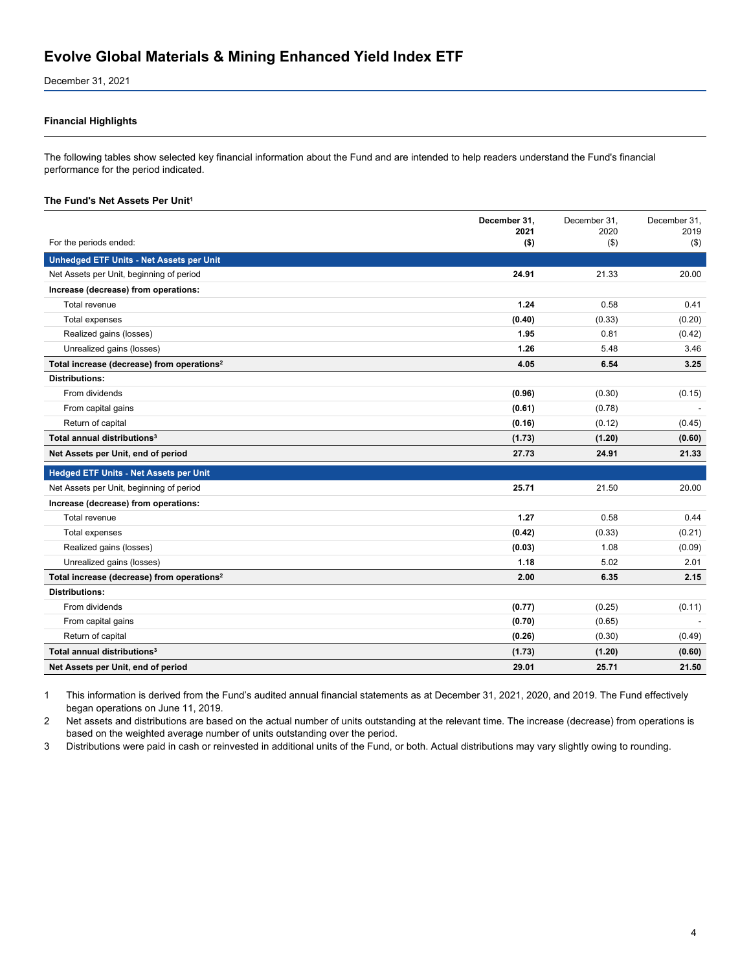December 31, 2021

#### **Financial Highlights**

The following tables show selected key financial information about the Fund and are intended to help readers understand the Fund's financial performance for the period indicated.

#### **The Fund's Net Assets Per Unit<sup>1</sup>**

|                                                        | December 31,<br>2021 | December 31.<br>2020 | December 31.<br>2019 |
|--------------------------------------------------------|----------------------|----------------------|----------------------|
| For the periods ended:                                 | $($ \$)              | $($ \$)              | $($ \$)              |
| <b>Unhedged ETF Units - Net Assets per Unit</b>        |                      |                      |                      |
| Net Assets per Unit, beginning of period               | 24.91                | 21.33                | 20.00                |
| Increase (decrease) from operations:                   |                      |                      |                      |
| Total revenue                                          | 1.24                 | 0.58                 | 0.41                 |
| Total expenses                                         | (0.40)               | (0.33)               | (0.20)               |
| Realized gains (losses)                                | 1.95                 | 0.81                 | (0.42)               |
| Unrealized gains (losses)                              | 1.26                 | 5.48                 | 3.46                 |
| Total increase (decrease) from operations <sup>2</sup> | 4.05                 | 6.54                 | 3.25                 |
| <b>Distributions:</b>                                  |                      |                      |                      |
| From dividends                                         | (0.96)               | (0.30)               | (0.15)               |
| From capital gains                                     | (0.61)               | (0.78)               |                      |
| Return of capital                                      | (0.16)               | (0.12)               | (0.45)               |
| Total annual distributions <sup>3</sup>                | (1.73)               | (1.20)               | (0.60)               |
| Net Assets per Unit, end of period                     | 27.73                | 24.91                | 21.33                |
| <b>Hedged ETF Units - Net Assets per Unit</b>          |                      |                      |                      |
| Net Assets per Unit, beginning of period               | 25.71                | 21.50                | 20.00                |
| Increase (decrease) from operations:                   |                      |                      |                      |
| Total revenue                                          | 1.27                 | 0.58                 | 0.44                 |
| Total expenses                                         | (0.42)               | (0.33)               | (0.21)               |
| Realized gains (losses)                                | (0.03)               | 1.08                 | (0.09)               |
| Unrealized gains (losses)                              | 1.18                 | 5.02                 | 2.01                 |
| Total increase (decrease) from operations <sup>2</sup> | 2.00                 | 6.35                 | 2.15                 |
| <b>Distributions:</b>                                  |                      |                      |                      |
| From dividends                                         | (0.77)               | (0.25)               | (0.11)               |
| From capital gains                                     | (0.70)               | (0.65)               |                      |
| Return of capital                                      | (0.26)               | (0.30)               | (0.49)               |
| Total annual distributions <sup>3</sup>                | (1.73)               | (1.20)               | (0.60)               |
| Net Assets per Unit, end of period                     | 29.01                | 25.71                | 21.50                |

1 This information is derived from the Fund's audited annual financial statements as at December 31, 2021, 2020, and 2019. The Fund effectively began operations on June 11, 2019.

2 Net assets and distributions are based on the actual number of units outstanding at the relevant time. The increase (decrease) from operations is based on the weighted average number of units outstanding over the period.

3 Distributions were paid in cash or reinvested in additional units of the Fund, or both. Actual distributions may vary slightly owing to rounding.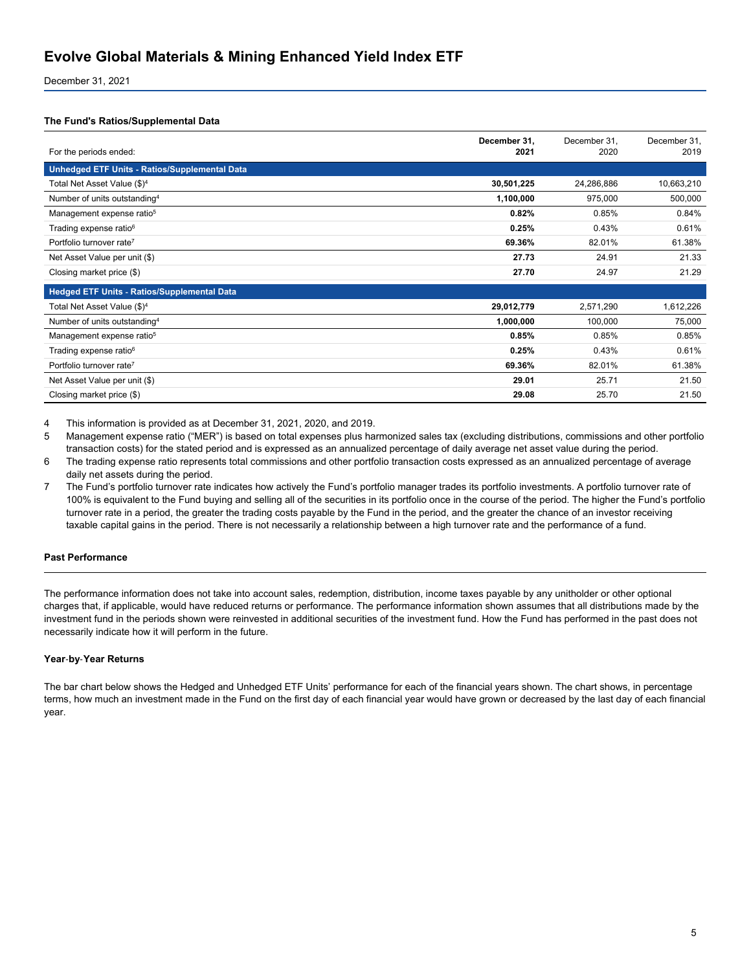December 31, 2021

#### **The Fund's Ratios/Supplemental Data**

| For the periods ended:                        | December 31,<br>2021 | December 31.<br>2020 | December 31,<br>2019 |
|-----------------------------------------------|----------------------|----------------------|----------------------|
| Unhedged ETF Units - Ratios/Supplemental Data |                      |                      |                      |
| Total Net Asset Value (\$) <sup>4</sup>       | 30,501,225           | 24,286,886           | 10,663,210           |
| Number of units outstanding <sup>4</sup>      | 1,100,000            | 975,000              | 500,000              |
| Management expense ratio <sup>5</sup>         | 0.82%                | 0.85%                | 0.84%                |
| Trading expense ratio <sup>6</sup>            | 0.25%                | 0.43%                | 0.61%                |
| Portfolio turnover rate <sup>7</sup>          | 69.36%               | 82.01%               | 61.38%               |
| Net Asset Value per unit (\$)                 | 27.73                | 24.91                | 21.33                |
| Closing market price (\$)                     | 27.70                | 24.97                | 21.29                |
| Hedged ETF Units - Ratios/Supplemental Data   |                      |                      |                      |
| Total Net Asset Value (\$) <sup>4</sup>       | 29,012,779           | 2,571,290            | 1,612,226            |
| Number of units outstanding <sup>4</sup>      | 1,000,000            | 100,000              | 75,000               |
| Management expense ratio <sup>5</sup>         | 0.85%                | 0.85%                | 0.85%                |
| Trading expense ratio <sup>6</sup>            | 0.25%                | 0.43%                | 0.61%                |
| Portfolio turnover rate <sup>7</sup>          | 69.36%               | 82.01%               | 61.38%               |
| Net Asset Value per unit (\$)                 | 29.01                | 25.71                | 21.50                |
| Closing market price (\$)                     | 29.08                | 25.70                | 21.50                |

4 This information is provided as at December 31, 2021, 2020, and 2019.

5 Management expense ratio ("MER") is based on total expenses plus harmonized sales tax (excluding distributions, commissions and other portfolio transaction costs) for the stated period and is expressed as an annualized percentage of daily average net asset value during the period.

- 6 The trading expense ratio represents total commissions and other portfolio transaction costs expressed as an annualized percentage of average daily net assets during the period.
- 7 The Fund's portfolio turnover rate indicates how actively the Fund's portfolio manager trades its portfolio investments. A portfolio turnover rate of 100% is equivalent to the Fund buying and selling all of the securities in its portfolio once in the course of the period. The higher the Fund's portfolio turnover rate in a period, the greater the trading costs payable by the Fund in the period, and the greater the chance of an investor receiving taxable capital gains in the period. There is not necessarily a relationship between a high turnover rate and the performance of a fund.

#### **Past Performance**

The performance information does not take into account sales, redemption, distribution, income taxes payable by any unitholder or other optional charges that, if applicable, would have reduced returns or performance. The performance information shown assumes that all distributions made by the investment fund in the periods shown were reinvested in additional securities of the investment fund. How the Fund has performed in the past does not necessarily indicate how it will perform in the future.

#### **Year**‑**by**‑**Year Returns**

The bar chart below shows the Hedged and Unhedged ETF Units' performance for each of the financial years shown. The chart shows, in percentage terms, how much an investment made in the Fund on the first day of each financial year would have grown or decreased by the last day of each financial year.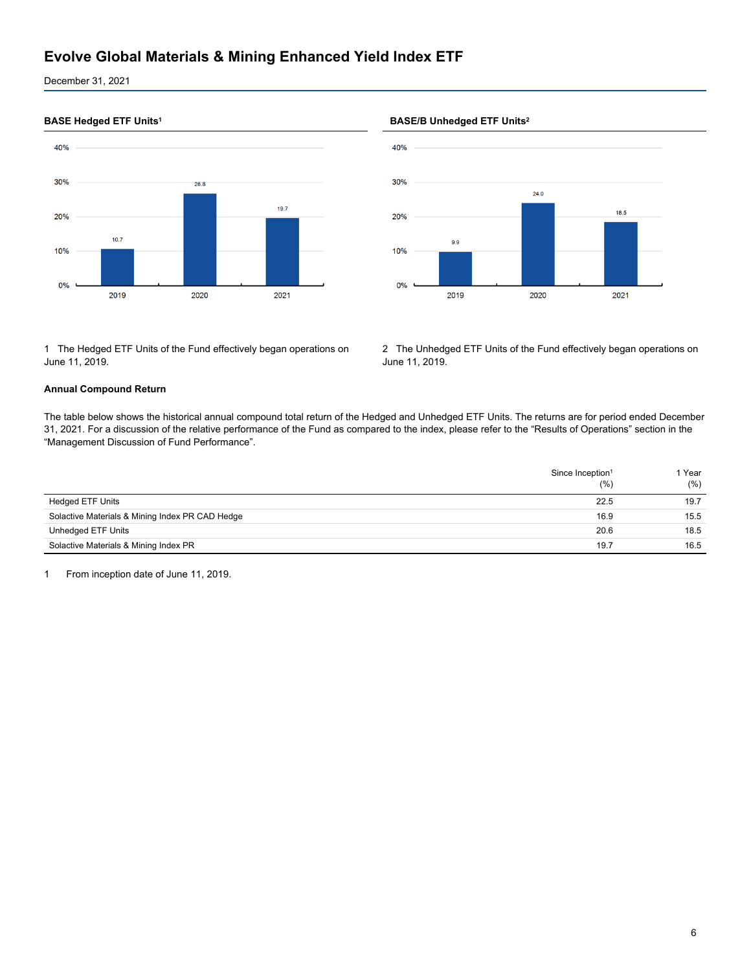December 31, 2021



1 The Hedged ETF Units of the Fund effectively began operations on June 11, 2019.

#### **BASE Hedged ETF Units<sup>1</sup> BASE/B Unhedged ETF Units<sup>2</sup>**



2 The Unhedged ETF Units of the Fund effectively began operations on June 11, 2019.

#### **Annual Compound Return**

The table below shows the historical annual compound total return of the Hedged and Unhedged ETF Units. The returns are for period ended December 31, 2021. For a discussion of the relative performance of the Fund as compared to the index, please refer to the "Results of Operations" section in the "Management Discussion of Fund Performance".

|                                                 | Since Inception <sup>1</sup><br>(% ) | 1 Year<br>(%) |
|-------------------------------------------------|--------------------------------------|---------------|
| <b>Hedged ETF Units</b>                         | 22.5                                 | 19.7          |
| Solactive Materials & Mining Index PR CAD Hedge | 16.9                                 | 15.5          |
| Unhedged ETF Units                              | 20.6                                 | 18.5          |
| Solactive Materials & Mining Index PR           | 19.7                                 | 16.5          |

1 From inception date of June 11, 2019.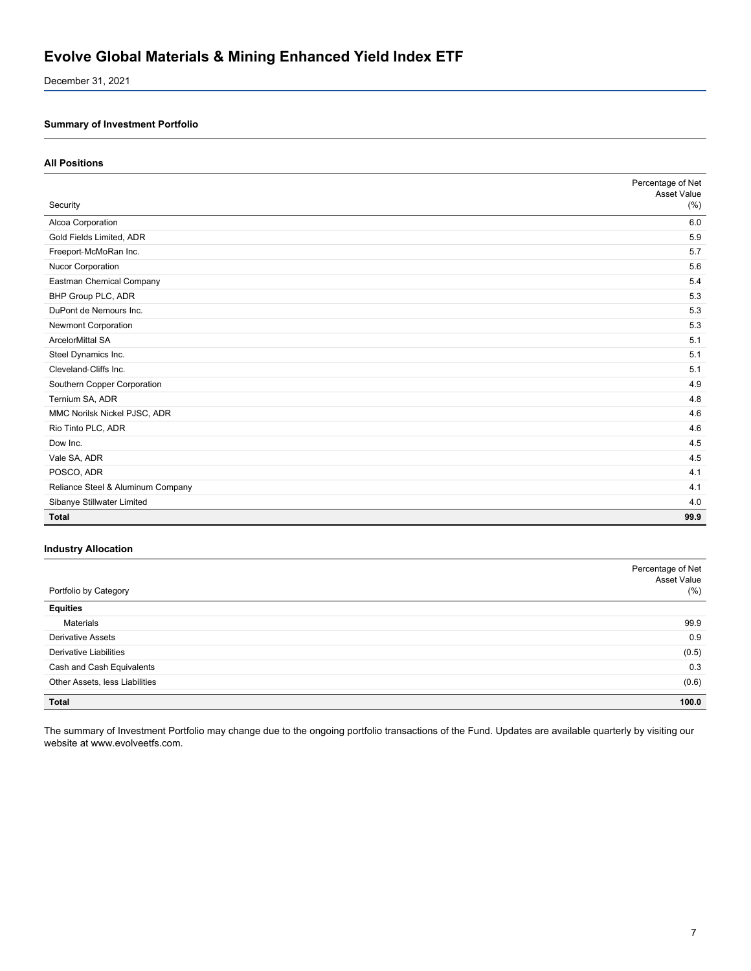December 31, 2021

### **Summary of Investment Portfolio**

#### **All Positions**

|                                   | Percentage of Net<br><b>Asset Value</b> |
|-----------------------------------|-----------------------------------------|
| Security                          | (% )                                    |
| Alcoa Corporation                 | 6.0                                     |
| Gold Fields Limited, ADR          | 5.9                                     |
| Freeport-McMoRan Inc.             | 5.7                                     |
| Nucor Corporation                 | 5.6                                     |
| Eastman Chemical Company          | 5.4                                     |
| BHP Group PLC, ADR                | 5.3                                     |
| DuPont de Nemours Inc.            | 5.3                                     |
| Newmont Corporation               | 5.3                                     |
| <b>ArcelorMittal SA</b>           | 5.1                                     |
| Steel Dynamics Inc.               | 5.1                                     |
| Cleveland-Cliffs Inc.             | 5.1                                     |
| Southern Copper Corporation       | 4.9                                     |
| Ternium SA, ADR                   | 4.8                                     |
| MMC Norilsk Nickel PJSC, ADR      | 4.6                                     |
| Rio Tinto PLC, ADR                | 4.6                                     |
| Dow Inc.                          | 4.5                                     |
| Vale SA, ADR                      | 4.5                                     |
| POSCO, ADR                        | 4.1                                     |
| Reliance Steel & Aluminum Company | 4.1                                     |
| Sibanye Stillwater Limited        | 4.0                                     |
| <b>Total</b>                      | 99.9                                    |

#### **Industry Allocation**

| Portfolio by Category          | Percentage of Net<br>Asset Value<br>$(\% )$ |
|--------------------------------|---------------------------------------------|
| <b>Equities</b>                |                                             |
| Materials                      | 99.9                                        |
| <b>Derivative Assets</b>       | 0.9                                         |
| <b>Derivative Liabilities</b>  | (0.5)                                       |
| Cash and Cash Equivalents      | 0.3                                         |
| Other Assets, less Liabilities | (0.6)                                       |
| Total                          | 100.0                                       |

The summary of Investment Portfolio may change due to the ongoing portfolio transactions of the Fund. Updates are available quarterly by visiting our website at www.evolveetfs.com.